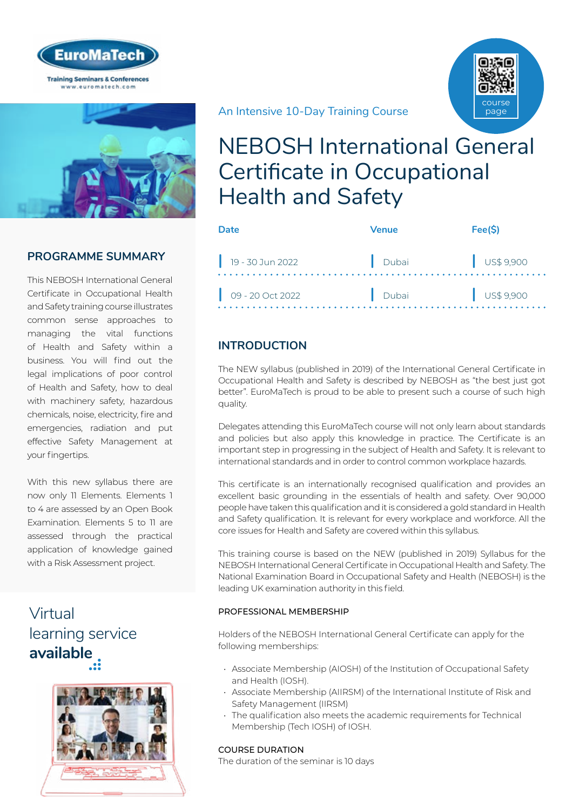



### **PROGRAMME SUMMARY**

This NEBOSH International General Certificate in Occupational Health and Safety training course illustrates common sense approaches to managing the vital functions of Health and Safety within a business. You will find out the legal implications of poor control of Health and Safety, how to deal with machinery safety, hazardous chemicals, noise, electricity, fire and emergencies, radiation and put effective Safety Management at your fingertips.

With this new syllabus there are now only 11 Elements. Elements 1 to 4 are assessed by an Open Book Examination. Elements 5 to 11 are assessed through the practical application of knowledge gained with a Risk Assessment project.

# Virtual [learning service](https://www.euromatech.com/seminars/nebosh-international-general-certificate-in-occupational-health-and-safety/)  **available**



An Intensive 10-Day Training Course



# NEBOSH International General Certificate in Occupational Health and Safety

| Date                        | <b>Venue</b> | Fee(S)    |
|-----------------------------|--------------|-----------|
| 19 - 30 Jun 2022            | Dubai        | US\$9,900 |
| $\bigcirc$ 09 - 20 Oct 2022 | Dubai        | US\$9,900 |

### **INTRODUCTION**

The NEW syllabus (published in 2019) of the International General Certificate in Occupational Health and Safety is described by NEBOSH as "the best just got better". EuroMaTech is proud to be able to present such a course of such high quality.

Delegates attending this EuroMaTech course will not only learn about standards and policies but also apply this knowledge in practice. The Certificate is an important step in progressing in the subject of Health and Safety. It is relevant to international standards and in order to control common workplace hazards.

This certificate is an internationally recognised qualification and provides an excellent basic grounding in the essentials of health and safety. Over 90,000 people have taken this qualification and it is considered a gold standard in Health and Safety qualification. It is relevant for every workplace and workforce. All the core issues for Health and Safety are covered within this syllabus.

This training course is based on the NEW (published in 2019) Syllabus for the NEBOSH International General Certificate in Occupational Health and Safety. The National Examination Board in Occupational Safety and Health (NEBOSH) is the leading UK examination authority in this field.

#### PROFESSIONAL MEMBERSHIP

Holders of the NEBOSH International General Certificate can apply for the following memberships:

- Associate Membership (AIOSH) of the Institution of Occupational Safety and Health (IOSH).
- Associate Membership (AIIRSM) of the International Institute of Risk and Safety Management (IIRSM)
- The qualification also meets the academic requirements for Technical Membership (Tech IOSH) of IOSH.

#### COURSE DURATION

The duration of the seminar is 10 days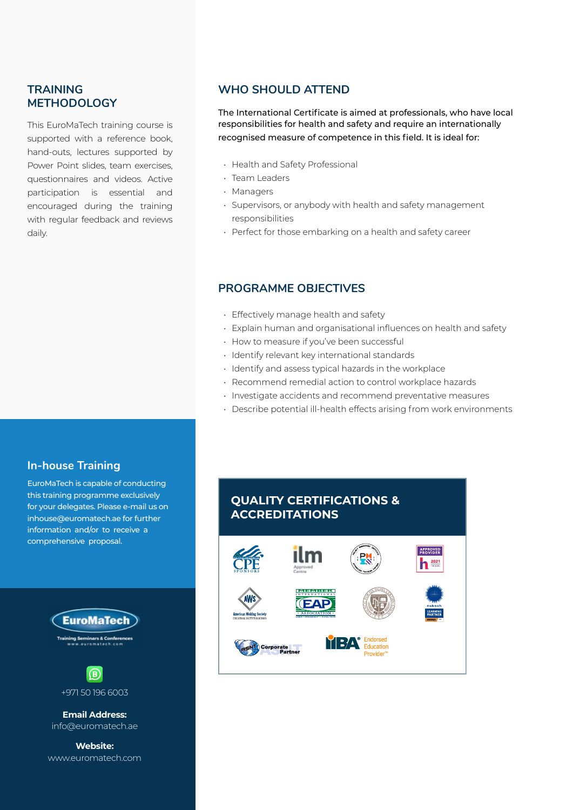#### **TRAINING METHODOLOGY**

This EuroMaTech training course is supported with a reference book, hand-outs, lectures supported by Power Point slides, team exercises, questionnaires and videos. Active participation is essential and encouraged during the training with regular feedback and reviews daily.

### **WHO SHOULD ATTEND**

The International Certificate is aimed at professionals, who have local responsibilities for health and safety and require an internationally recognised measure of competence in this field. It is ideal for:

- Health and Safety Professional
- Team Leaders
- Managers
- Supervisors, or anybody with health and safety management responsibilities
- Perfect for those embarking on a health and safety career

### **PROGRAMME OBJECTIVES**

- Effectively manage health and safety
- Explain human and organisational influences on health and safety
- How to measure if you've been successful
- Identify relevant key international standards
- Identify and assess typical hazards in the workplace
- Recommend remedial action to control workplace hazards
- Investigate accidents and recommend preventative measures
- Describe potential ill-health effects arising from work environments

#### **In-house Training**

EuroMaTech is capable of conducting this training programme exclusively for your delegates. Please e-mail us on inhouse@euromatech.ae for further information and/or to receive a comprehensive proposal.



**Email Address:** info@euromatech.ae

**Website:** www.euromatech.com

# **QUALITY CERTIFICATIONS & ACCREDITATIONS**

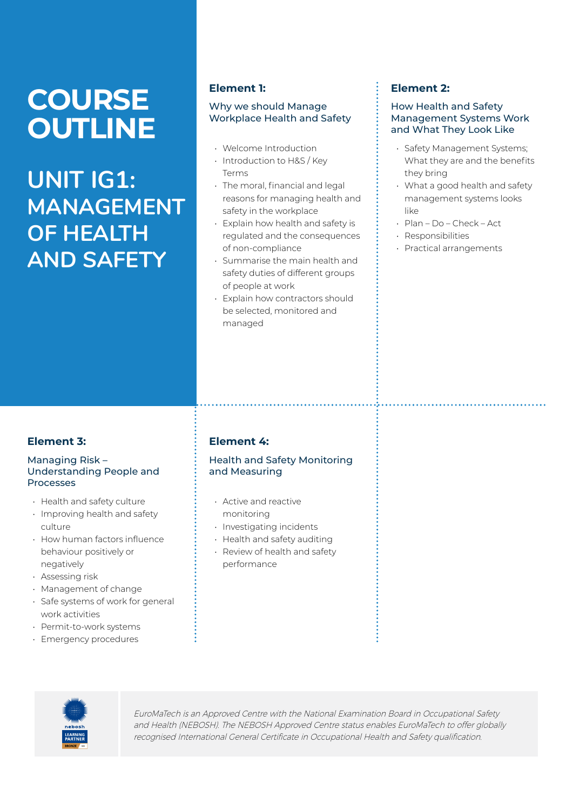# **COURSE OUTLINE**

**UNIT IG1: MANAGEMENT OF HEALTH AND SAFETY**

#### **Element 1:**

#### Why we should Manage Workplace Health and Safety

- Welcome Introduction
- Introduction to H&S / Key Terms
- The moral, financial and legal reasons for managing health and safety in the workplace
- Explain how health and safety is regulated and the consequences of non-compliance
- Summarise the main health and safety duties of different groups of people at work
- Explain how contractors should be selected, monitored and managed

### **Element 2:**

#### How Health and Safety Management Systems Work and What They Look Like

- Safety Management Systems; What they are and the benefits they bring
- What a good health and safety management systems looks like
- Plan Do Check Act
- Responsibilities
- Practical arrangements

# **Element 3:**

#### Managing Risk – Understanding People and Processes

- Health and safety culture
- Improving health and safety culture
- How human factors influence behaviour positively or negatively
- Assessing risk
- Management of change
- Safe systems of work for general work activities
- Permit-to-work systems
- Emergency procedures

# **Element 4:**

Health and Safety Monitoring and Measuring

- Active and reactive monitoring
- Investigating incidents
- Health and safety auditing
- Review of health and safety performance

![](_page_2_Picture_33.jpeg)

EuroMaTech is an Approved Centre with the National Examination Board in Occupational Safety and Health (NEBOSH). The NEBOSH Approved Centre status enables EuroMaTech to offer globally recognised International General Certificate in Occupational Health and Safety qualification.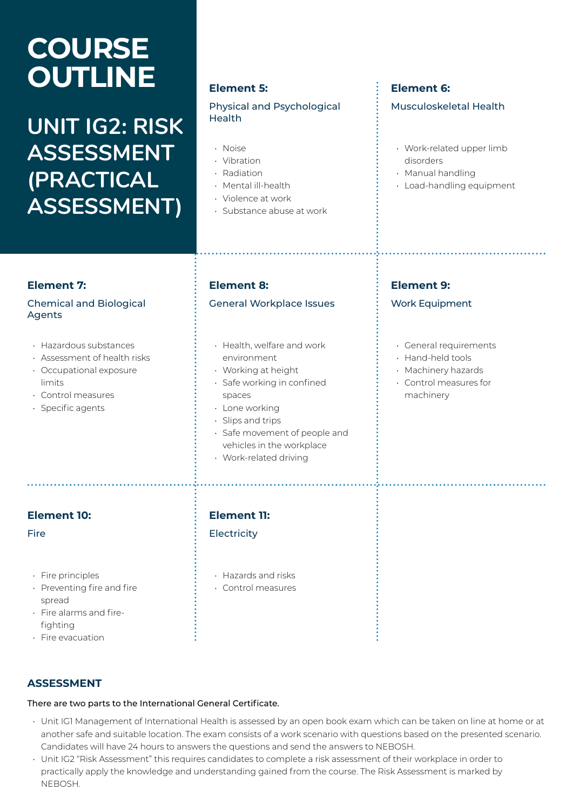# **COURSE OUTLINE**

# **UNIT IG2: RISK ASSESSMENT (PRACTICAL ASSESSMENT)**

#### **Element 5:**

#### Physical and Psychological Health

- Noise
- Vibration
- Radiation
- Mental ill-health
- Violence at work
- Substance abuse at work

#### **Element 6:**

#### Musculoskeletal Health

- Work-related upper limb disorders
- Manual handling
- Load-handling equipment

#### **Element 7:**

#### Chemical and Biological Agents

- Hazardous substances
- Assessment of health risks
- Occupational exposure limits
- Control measures
- Specific agents

#### **Element 8:**

#### General Workplace Issues

- Health, welfare and work environment
- Working at height
- Safe working in confined spaces
- Lone working
- Slips and trips
- Safe movement of people and vehicles in the workplace
- Work-related driving

### **Element 10: Element 11:**

- Fire principles
- Preventing fire and fire spread
- Fire alarms and firefighting
- Fire evacuation

# Fire **Electricity Electricity**

- 
- Hazards and risks • Control measures

### **ASSESSMENT**

#### There are two parts to the International General Certificate.

- Unit IG1 Management of International Health is assessed by an open book exam which can be taken on line at home or at another safe and suitable location. The exam consists of a work scenario with questions based on the presented scenario. Candidates will have 24 hours to answers the questions and send the answers to NEBOSH.
- Unit IG2 "Risk Assessment" this requires candidates to complete a risk assessment of their workplace in order to practically apply the knowledge and understanding gained from the course. The Risk Assessment is marked by NEBOSH.

### **Element 9:** Work Equipment

#### • General requirements

- Hand-held tools
- Machinery hazards
- Control measures for machinery